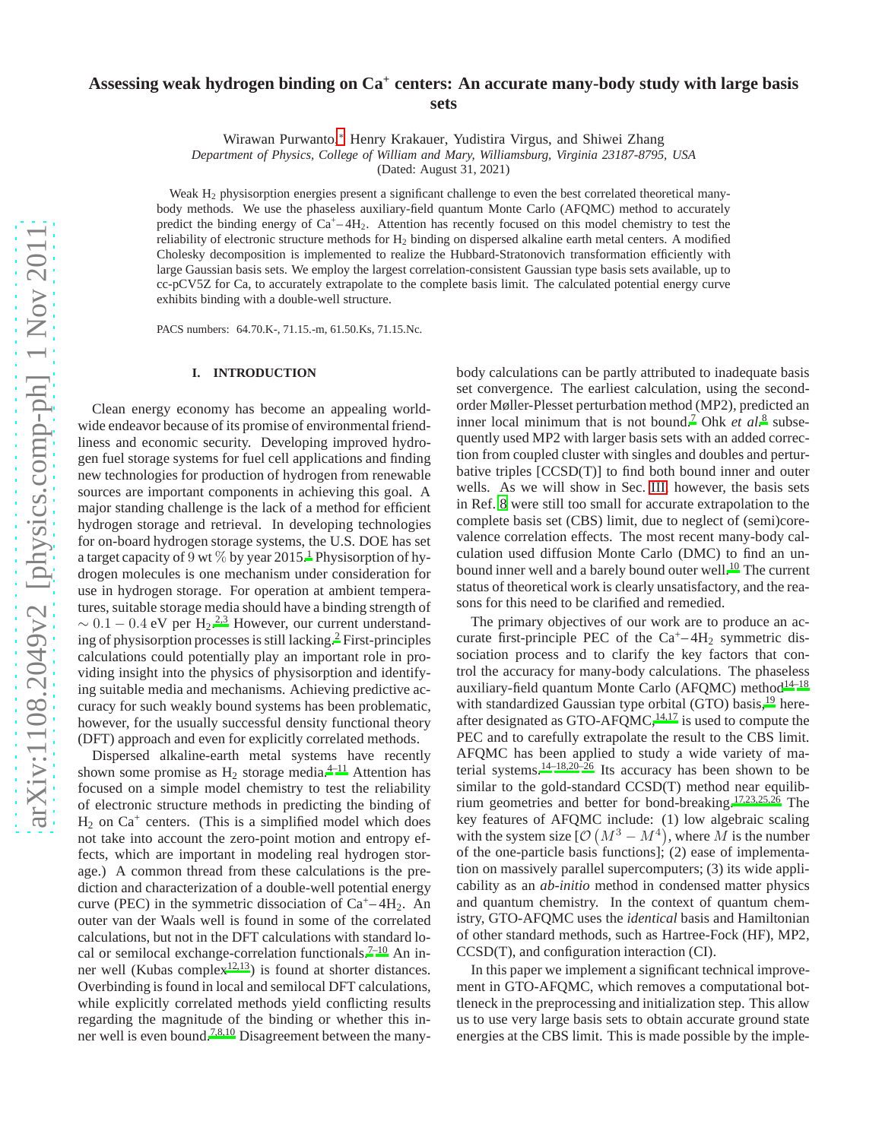# **Assessing weak hydrogen binding on Ca<sup>+</sup> centers: An accurate many-body study with large basis sets**

Wirawan Purwanto,[∗](#page-8-0) Henry Krakauer, Yudistira Virgus, and Shiwei Zhang

*Department of Physics, College of William and Mary, Williamsburg, Virginia 23187-8795, USA*

(Dated: August 31, 2021)

Weak H<sub>2</sub> physisorption energies present a significant challenge to even the best correlated theoretical manybody methods. We use the phaseless auxiliary-field quantum Monte Carlo (AFQMC) method to accurately predict the binding energy of  $Ca^+ - 4H_2$ . Attention has recently focused on this model chemistry to test the reliability of electronic structure methods for H<sup>2</sup> binding on dispersed alkaline earth metal centers. A modified Cholesky decomposition is implemented to realize the Hubbard-Stratonovich transformation efficiently with large Gaussian basis sets. We employ the largest correlation-consistent Gaussian type basis sets available, up to cc-pCV5Z for Ca, to accurately extrapolate to the complete basis limit. The calculated potential energy curve exhibits binding with a double-well structure.

PACS numbers: 64.70.K-, 71.15.-m, 61.50.Ks, 71.15.Nc.

### **I. INTRODUCTION**

Clean energy economy has become an appealing worldwide endeavor because of its promise of environmental friendliness and economic security. Developing improved hydrogen fuel storage systems for fuel cell applications and finding new technologies for production of hydrogen from renewable sources are important components in achieving this goal. A major standing challenge is the lack of a method for efficient hydrogen storage and retrieval. In developing technologies for on-board hydrogen storage systems, the U.S. DOE has set a target capacity of 9 wt  $\%$  by year 20[1](#page-8-1)5.<sup>1</sup> Physisorption of hydrogen molecules is one mechanism under consideration for use in hydrogen storage. For operation at ambient temperatures, suitable storage media should have a binding strength of  $\sim 0.1 - 0.4$  eV per H<sub>[2](#page-8-2)</sub>.<sup>2[,3](#page-8-3)</sup> However, our current understanding of physisorption processes is still lacking.[2](#page-8-2) First-principles calculations could potentially play an important role in providing insight into the physics of physisorption and identifying suitable media and mechanisms. Achieving predictive accuracy for such weakly bound systems has been problematic, however, for the usually successful density functional theory (DFT) approach and even for explicitly correlated methods.

Dispersed alkaline-earth metal systems have recently shown some promise as  $H_2$  storage media.<sup>[4](#page-8-4)[–11](#page-9-0)</sup> Attention has focused on a simple model chemistry to test the reliability of electronic structure methods in predicting the binding of  $H_2$  on Ca<sup>+</sup> centers. (This is a simplified model which does not take into account the zero-point motion and entropy effects, which are important in modeling real hydrogen storage.) A common thread from these calculations is the prediction and characterization of a double-well potential energy curve (PEC) in the symmetric dissociation of  $Ca^+ - 4H_2$ . An outer van der Waals well is found in some of the correlated calculations, but not in the DFT calculations with standard lo-cal or semilocal exchange-correlation functionals.<sup>[7](#page-8-5)-10</sup> An inner well (Kubas comple[x](#page-9-2)<sup>12[,13](#page-9-3)</sup>) is found at shorter distances. Overbinding is found in local and semilocal DFT calculations, while explicitly correlated methods yield conflicting results regarding the magnitude of the binding or whether this inner well is even bound.[7](#page-8-5)[,8](#page-8-6)[,10](#page-9-1) Disagreement between the manybody calculations can be partly attributed to inadequate basis set convergence. The earliest calculation, using the secondorder Møller-Plesset perturbation method (MP2), predicted an inner local minimum that is not bound[.](#page-8-6)<sup>7</sup> Ohk *et al.*<sup>8</sup> subsequently used MP2 with larger basis sets with an added correction from coupled cluster with singles and doubles and perturbative triples [CCSD(T)] to find both bound inner and outer wells. As we will show in Sec. [III,](#page-5-0) however, the basis sets in Ref. [8](#page-8-6) were still too small for accurate extrapolation to the complete basis set (CBS) limit, due to neglect of (semi)corevalence correlation effects. The most recent many-body calculation used diffusion Monte Carlo (DMC) to find an un-bound inner well and a barely bound outer well.<sup>[10](#page-9-1)</sup> The current status of theoretical work is clearly unsatisfactory, and the reasons for this need to be clarified and remedied.

The primary objectives of our work are to produce an accurate first-principle PEC of the  $Ca^+ - 4H_2$  symmetric dissociation process and to clarify the key factors that control the accuracy for many-body calculations. The phaseless auxiliary-field quantum Monte Carlo (AFQMC) method $14-18$  $14-18$ with standardized Gaussian type orbital (GTO) basis,<sup>[19](#page-9-6)</sup> hereafter designated as GTO-AFQMC, $^{14,17}$  $^{14,17}$  $^{14,17}$  $^{14,17}$  is used to compute the PEC and to carefully extrapolate the result to the CBS limit. AFQMC has been applied to study a wide variety of ma-terial systems.<sup>[14](#page-9-4)[–18](#page-9-5)[,20](#page-9-8)[–26](#page-9-9)</sup> Its accuracy has been shown to be similar to the gold-standard CCSD(T) method near equilibrium geometries and better for bond-breaking.[17](#page-9-7)[,23](#page-9-10)[,25](#page-9-11)[,26](#page-9-9) The key features of AFQMC include: (1) low algebraic scaling with the system size  $[O(M^3 - M^4)]$ , where M is the number of the one-particle basis functions]; (2) ease of implementation on massively parallel supercomputers; (3) its wide applicability as an *ab-initio* method in condensed matter physics and quantum chemistry. In the context of quantum chemistry, GTO-AFQMC uses the *identical* basis and Hamiltonian of other standard methods, such as Hartree-Fock (HF), MP2, CCSD(T), and configuration interaction (CI).

In this paper we implement a significant technical improvement in GTO-AFQMC, which removes a computational bottleneck in the preprocessing and initialization step. This allow us to use very large basis sets to obtain accurate ground state energies at the CBS limit. This is made possible by the imple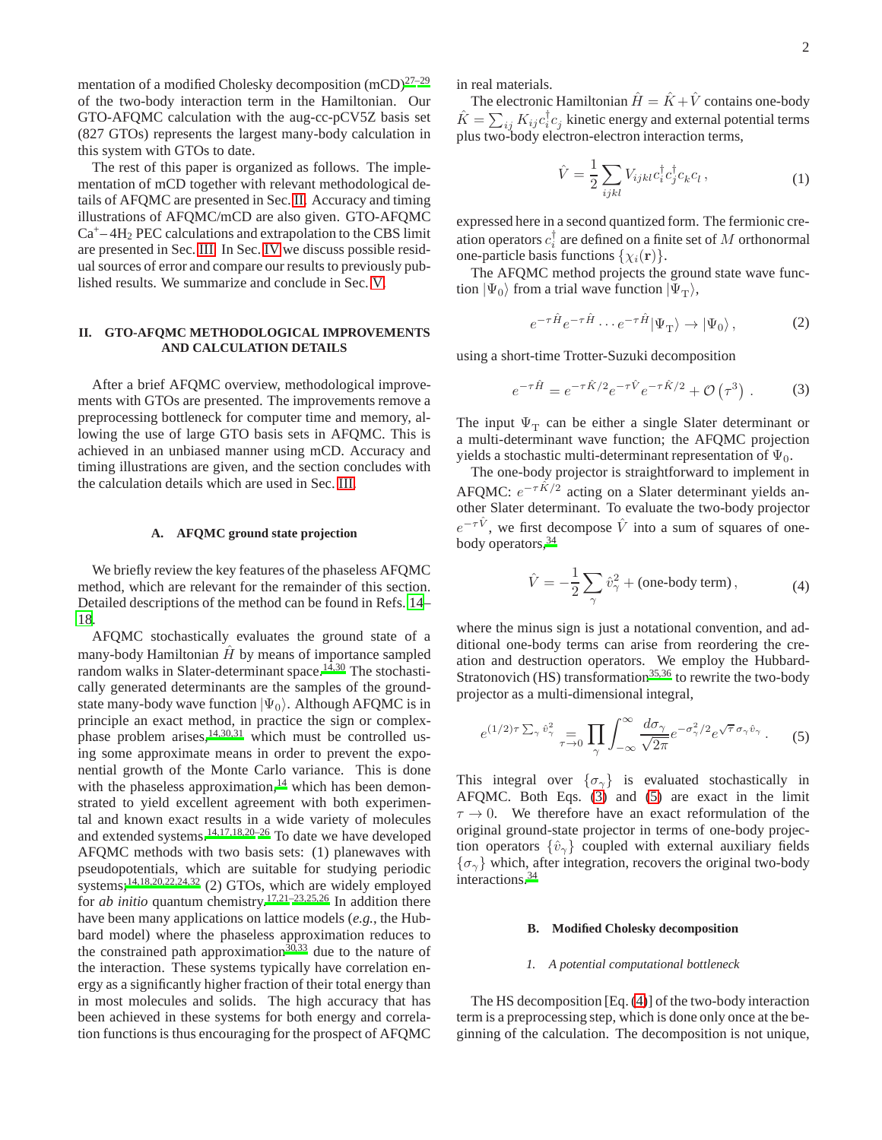mentation of a modified Cholesky decomposition  $(mCD)^{27-29}$  $(mCD)^{27-29}$  $(mCD)^{27-29}$ of the two-body interaction term in the Hamiltonian. Our GTO-AFQMC calculation with the aug-cc-pCV5Z basis set (827 GTOs) represents the largest many-body calculation in this system with GTOs to date.

The rest of this paper is organized as follows. The implementation of mCD together with relevant methodological details of AFQMC are presented in Sec. [II.](#page-1-0) Accuracy and timing illustrations of AFQMC/mCD are also given. GTO-AFQMC  $Ca<sup>+</sup>-4H<sub>2</sub> PEC calculations and extrapolation to the CBS limit$ are presented in Sec. [III.](#page-5-0) In Sec. [IV](#page-7-0) we discuss possible residual sources of error and compare our results to previously published results. We summarize and conclude in Sec. [V.](#page-8-7)

# <span id="page-1-0"></span>**II. GTO-AFQMC METHODOLOGICAL IMPROVEMENTS AND CALCULATION DETAILS**

After a brief AFQMC overview, methodological improvements with GTOs are presented. The improvements remove a preprocessing bottleneck for computer time and memory, allowing the use of large GTO basis sets in AFQMC. This is achieved in an unbiased manner using mCD. Accuracy and timing illustrations are given, and the section concludes with the calculation details which are used in Sec. [III.](#page-5-0)

#### **A. AFQMC ground state projection**

We briefly review the key features of the phaseless AFQMC method, which are relevant for the remainder of this section. Detailed descriptions of the method can be found in Refs. [14](#page-9-4)– [18.](#page-9-5)

AFQMC stochastically evaluates the ground state of a many-body Hamiltonian  $\hat{H}$  by means of importance sampled random walks in Slater-determinant space. $14,30$  $14,30$  The stochastically generated determinants are the samples of the groundstate many-body wave function  $|\Psi_0\rangle$ . Although AFQMC is in principle an exact method, in practice the sign or complexphase problem arises, $14,30,31$  $14,30,31$  $14,30,31$  which must be controlled using some approximate means in order to prevent the exponential growth of the Monte Carlo variance. This is done with the phaseless approximation, $14$  which has been demonstrated to yield excellent agreement with both experimental and known exact results in a wide variety of molecules and extended systems.[14](#page-9-4)[,17](#page-9-7)[,18](#page-9-5)[,20](#page-9-8)[–26](#page-9-9) To date we have developed AFQMC methods with two basis sets: (1) planewaves with pseudopotentials, which are suitable for studying periodic systems;<sup>[14](#page-9-4)[,18](#page-9-5)[,20](#page-9-8)[,22](#page-9-16)[,24](#page-9-17)[,32](#page-9-18)</sup> (2) GTOs, which are widely employed for *ab initio* quantum chemistry.[17](#page-9-7)[,21](#page-9-19)[–23](#page-9-10)[,25](#page-9-11)[,26](#page-9-9) In addition there have been many applications on lattice models (*e.g.*, the Hubbard model) where the phaseless approximation reduces to the constrained path approximation<sup>[30](#page-9-14)[,33](#page-9-20)</sup> due to the nature of the interaction. These systems typically have correlation energy as a significantly higher fraction of their total energy than in most molecules and solids. The high accuracy that has been achieved in these systems for both energy and correlation functions is thus encouraging for the prospect of AFQMC in real materials.

The electronic Hamiltonian  $\hat{H} = \hat{K} + \hat{V}$  contains one-body  $\hat{K} = \sum_{ij} K_{ij} c_i^\dagger c_j^{\phantom{\dagger}}$  kinetic energy and external potential terms plus two-body electron-electron interaction terms,

$$
\hat{V} = \frac{1}{2} \sum_{ijkl} V_{ijkl} c_i^{\dagger} c_j^{\dagger} c_k c_l , \qquad (1)
$$

<span id="page-1-4"></span>expressed here in a second quantized form. The fermionic creation operators  $c_i^{\dagger}$  are defined on a finite set of M orthonormal one-particle basis functions  $\{\chi_i(\mathbf{r})\}.$ 

The AFQMC method projects the ground state wave function  $|\Psi_0\rangle$  from a trial wave function  $|\Psi_\text{T}\rangle$ ,

$$
e^{-\tau \hat{H}} e^{-\tau \hat{H}} \cdots e^{-\tau \hat{H}} |\Psi_{\mathrm{T}}\rangle \to |\Psi_{0}\rangle , \qquad (2)
$$

<span id="page-1-1"></span>using a short-time Trotter-Suzuki decomposition

$$
e^{-\tau \hat{H}} = e^{-\tau \hat{K}/2} e^{-\tau \hat{V}} e^{-\tau \hat{K}/2} + \mathcal{O}(\tau^3) . \tag{3}
$$

The input  $\Psi_T$  can be either a single Slater determinant or a multi-determinant wave function; the AFQMC projection yields a stochastic multi-determinant representation of  $\Psi_0$ .

The one-body projector is straightforward to implement in AFQMC:  $e^{-\tau \hat{K}/2}$  acting on a Slater determinant yields another Slater determinant. To evaluate the two-body projector  $e^{-\tau \hat{V}}$ , we first decompose  $\hat{V}$  into a sum of squares of onebody operators[,](#page-9-21)<sup>34</sup>

$$
\hat{V} = -\frac{1}{2} \sum_{\gamma} \hat{v}_{\gamma}^2 + \text{(one-body term)}\,,\tag{4}
$$

<span id="page-1-3"></span>where the minus sign is just a notational convention, and additional one-body terms can arise from reordering the creation and destruction operators. We employ the Hubbard-Stratonovich (HS) transformation<sup>[35](#page-9-22)[,36](#page-9-23)</sup> to rewrite the two-body projector as a multi-dimensional integral,

<span id="page-1-2"></span>
$$
e^{(1/2)\tau \sum_{\gamma} \hat{v}_{\gamma}^2} = \prod_{\gamma \to 0} \prod_{\gamma} \int_{-\infty}^{\infty} \frac{d\sigma_{\gamma}}{\sqrt{2\pi}} e^{-\sigma_{\gamma}^2/2} e^{\sqrt{\tau} \sigma_{\gamma} \hat{v}_{\gamma}}.
$$
 (5)

This integral over  $\{\sigma_{\gamma}\}\$ is evaluated stochastically in AFQMC. Both Eqs. [\(3\)](#page-1-1) and [\(5\)](#page-1-2) are exact in the limit  $\tau \to 0$ . We therefore have an exact reformulation of the original ground-state projector in terms of one-body projection operators  $\{\hat{v}_{\gamma}\}\$  coupled with external auxiliary fields  $\{\sigma_{\gamma}\}\$  which, after integration, recovers the original two-body interactions[.](#page-9-21)<sup>34</sup>

#### **B. Modified Cholesky decomposition**

#### *1. A potential computational bottleneck*

The HS decomposition [Eq. [\(4\)](#page-1-3)] of the two-body interaction term is a preprocessing step, which is done only once at the beginning of the calculation. The decomposition is not unique,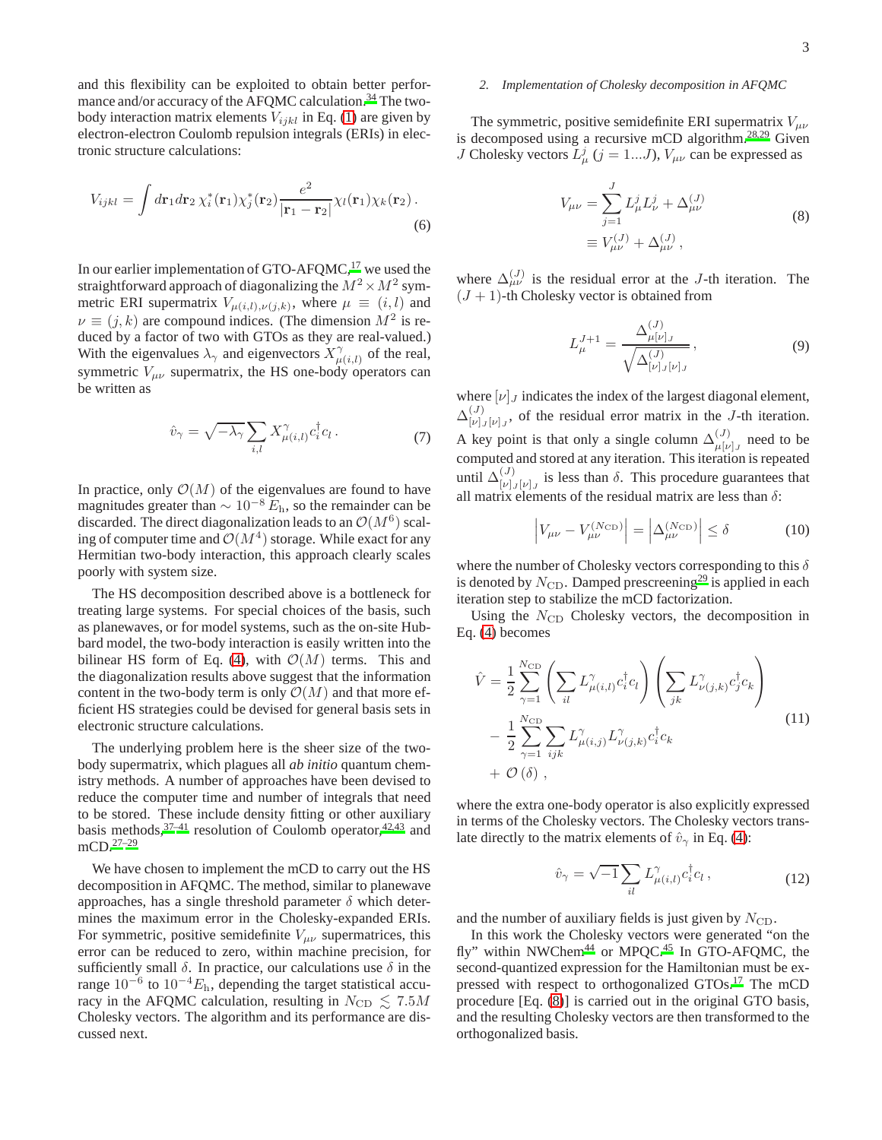and this flexibility can be exploited to obtain better perfor-mance and/or accuracy of the AFQMC calculation.<sup>[34](#page-9-21)</sup> The twobody interaction matrix elements  $V_{ijkl}$  in Eq. [\(1\)](#page-1-4) are given by electron-electron Coulomb repulsion integrals (ERIs) in electronic structure calculations:

$$
V_{ijkl} = \int d\mathbf{r}_1 d\mathbf{r}_2 \,\chi_i^*(\mathbf{r}_1)\chi_j^*(\mathbf{r}_2)\frac{e^2}{|\mathbf{r}_1 - \mathbf{r}_2|}\chi_l(\mathbf{r}_1)\chi_k(\mathbf{r}_2).
$$
\n(6)

In our earlier implementation of GTO-AFQMC, $^{17}$  $^{17}$  $^{17}$  we used the straightforward approach of diagonalizing the  $M^2 \times M^2$  symmetric ERI supermatrix  $V_{\mu(i,l),\nu(j,k)}$ , where  $\mu \equiv (i,l)$  and  $\nu \equiv (j, k)$  are compound indices. (The dimension  $M^2$  is reduced by a factor of two with GTOs as they are real-valued.) With the eigenvalues  $\lambda_{\gamma}$  and eigenvectors  $X_{\mu}^{\gamma}$  $\int_{\mu(i,l)}^{\gamma}$  of the real, symmetric  $V_{\mu\nu}$  supermatrix, the HS one-body operators can be written as

$$
\hat{v}_{\gamma} = \sqrt{-\lambda_{\gamma}} \sum_{i,l} X_{\mu(i,l)}^{\gamma} c_i^{\dagger} c_l \,. \tag{7}
$$

In practice, only  $\mathcal{O}(M)$  of the eigenvalues are found to have magnitudes greater than  $\sim 10^{-8} E_h$ , so the remainder can be discarded. The direct diagonalization leads to an  $\mathcal{O}(M^6)$  scaling of computer time and  $\mathcal{O}(M^4)$  storage. While exact for any Hermitian two-body interaction, this approach clearly scales poorly with system size.

The HS decomposition described above is a bottleneck for treating large systems. For special choices of the basis, such as planewaves, or for model systems, such as the on-site Hubbard model, the two-body interaction is easily written into the bilinear HS form of Eq. [\(4\)](#page-1-3), with  $\mathcal{O}(M)$  terms. This and the diagonalization results above suggest that the information content in the two-body term is only  $\mathcal{O}(M)$  and that more efficient HS strategies could be devised for general basis sets in electronic structure calculations.

The underlying problem here is the sheer size of the twobody supermatrix, which plagues all *ab initio* quantum chemistry methods. A number of approaches have been devised to reduce the computer time and number of integrals that need to be stored. These include density fitting or other auxiliary basis methods,  $37-41$  $37-41$  resolution of Coulomb operator,  $42,43$  $42,43$  and mCD.[27](#page-9-12)[–29](#page-9-13)

We have chosen to implement the mCD to carry out the HS decomposition in AFQMC. The method, similar to planewave approaches, has a single threshold parameter  $\delta$  which determines the maximum error in the Cholesky-expanded ERIs. For symmetric, positive semidefinite  $V_{\mu\nu}$  supermatrices, this error can be reduced to zero, within machine precision, for sufficiently small  $\delta$ . In practice, our calculations use  $\delta$  in the range  $10^{-6}$  to  $10^{-4}E_h$ , depending the target statistical accuracy in the AFQMC calculation, resulting in  $N_{\rm CD} \leq 7.5M$ Cholesky vectors. The algorithm and its performance are discussed next.

#### *2. Implementation of Cholesky decomposition in AFQMC*

The symmetric, positive semidefinite ERI supermatrix  $V_{\mu\nu}$ is decomposed using a recursive mCD algorithm.<sup>[28](#page-9-28)[,29](#page-9-13)</sup> Given *J* Cholesky vectors  $L^j_\mu$  ( $j = 1...J$ ),  $V_{\mu\nu}$  can be expressed as

$$
V_{\mu\nu} = \sum_{j=1}^{J} L_{\mu}^{j} L_{\nu}^{j} + \Delta_{\mu\nu}^{(J)}
$$
  

$$
\equiv V_{\mu\nu}^{(J)} + \Delta_{\mu\nu}^{(J)},
$$
 (8)

<span id="page-2-0"></span>where  $\Delta_{\mu\nu}^{(J)}$  is the residual error at the J-th iteration. The  $(J + 1)$ -th Cholesky vector is obtained from

$$
L_{\mu}^{J+1} = \frac{\Delta_{\mu[\nu]J}^{(J)}}{\sqrt{\Delta_{[\nu]J}^{(J)}}},\tag{9}
$$

where  $[\nu]_J$  indicates the index of the largest diagonal element,  $\Delta_{\scriptscriptstyle [\mu]}^{(J)}$  $\begin{bmatrix} V^{(1)} \\ V^{(1)} \end{bmatrix}$ , of the residual error matrix in the J-th iteration. A key point is that only a single column  $\Delta_{\mu[\nu]}^{(J)}$  $\begin{bmatrix} 1 & v \\ v & v \end{bmatrix}$  need to be computed and stored at any iteration. This iteration is repeated until  $\Delta_{[\nu]}^{(J)}$  $\begin{bmatrix} v^{(1)} \\ v^{(1)} \end{bmatrix}$  is less than  $\delta$ . This procedure guarantees that all matrix elements of the residual matrix are less than  $\delta$ :

$$
\left| V_{\mu\nu} - V_{\mu\nu}^{(N_{\rm CD})} \right| = \left| \Delta_{\mu\nu}^{(N_{\rm CD})} \right| \le \delta \tag{10}
$$

<span id="page-2-1"></span>where the number of Cholesky vectors corresponding to this  $\delta$ is denoted by  $N_{\text{CD}}$ . Damped prescreening<sup>[29](#page-9-13)</sup> is applied in each iteration step to stabilize the mCD factorization.

Using the  $N_{\text{CD}}$  Cholesky vectors, the decomposition in Eq. [\(4\)](#page-1-3) becomes

$$
\hat{V} = \frac{1}{2} \sum_{\gamma=1}^{N_{\text{CD}}} \left( \sum_{il} L_{\mu(i,l)}^{\gamma} c_i^{\dagger} c_l \right) \left( \sum_{jk} L_{\nu(j,k)}^{\gamma} c_j^{\dagger} c_k \right) \n- \frac{1}{2} \sum_{\gamma=1}^{N_{\text{CD}}} \sum_{ijk} L_{\mu(i,j)}^{\gamma} L_{\nu(j,k)}^{\gamma} c_i^{\dagger} c_k \n+ \mathcal{O}(\delta),
$$
\n(11)

where the extra one-body operator is also explicitly expressed in terms of the Cholesky vectors. The Cholesky vectors translate directly to the matrix elements of  $\hat{v}_{\gamma}$  in Eq. [\(4\)](#page-1-3):

$$
\hat{v}_{\gamma} = \sqrt{-1} \sum_{il} L^{\gamma}_{\mu(i,l)} c^{\dagger}_{i} c_{l} , \qquad (12)
$$

and the number of auxiliary fields is just given by  $N_{\text{CD}}$ .

In this work the Cholesky vectors were generated "on the fly" within NWChem<sup>[44](#page-9-29)</sup> or MPQC.<sup>[45](#page-9-30)</sup> In GTO-AFQMC, the second-quantized expression for the Hamiltonian must be ex-pressed with respect to orthogonalized GTOs[.](#page-9-7)<sup>17</sup> The mCD procedure [Eq. [\(8\)](#page-2-0)] is carried out in the original GTO basis, and the resulting Cholesky vectors are then transformed to the orthogonalized basis.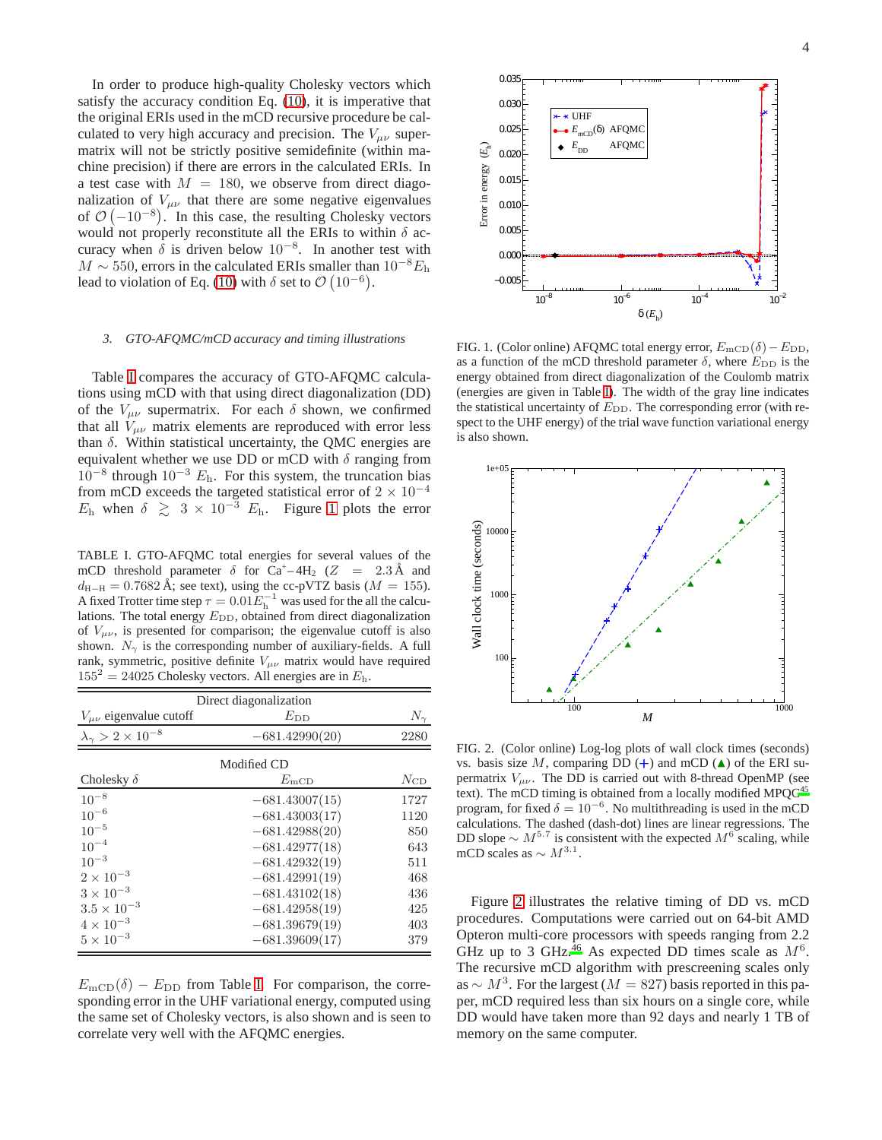In order to produce high-quality Cholesky vectors which satisfy the accuracy condition Eq. [\(10\)](#page-2-1), it is imperative that the original ERIs used in the mCD recursive procedure be calculated to very high accuracy and precision. The  $V_{\mu\nu}$  supermatrix will not be strictly positive semidefinite (within machine precision) if there are errors in the calculated ERIs. In a test case with  $M = 180$ , we observe from direct diagonalization of  $V_{\mu\nu}$  that there are some negative eigenvalues of  $\mathcal{O}(-10^{-8})$ . In this case, the resulting Cholesky vectors would not properly reconstitute all the ERIs to within  $\delta$  accuracy when  $\delta$  is driven below  $10^{-8}$ . In another test with  $M \sim 550$ , errors in the calculated ERIs smaller than  $10^{-8}E_h$ lead to violation of Eq. [\(10\)](#page-2-1) with  $\delta$  set to  $\mathcal{O}(10^{-6})$ .

#### *3. GTO-AFQMC/mCD accuracy and timing illustrations*

Table [I](#page-3-0) compares the accuracy of GTO-AFQMC calculations using mCD with that using direct diagonalization (DD) of the  $V_{\mu\nu}$  supermatrix. For each  $\delta$  shown, we confirmed that all  $V_{\mu\nu}$  matrix elements are reproduced with error less than  $\delta$ . Within statistical uncertainty, the QMC energies are equivalent whether we use DD or mCD with  $\delta$  ranging from  $10^{-8}$  through  $10^{-3}$   $E_h$ . For this system, the truncation bias from mCD exceeds the targeted statistical error of  $2 \times 10^{-4}$  $E_h$  when  $\delta \geq 3 \times 10^{-3}$  $\delta \geq 3 \times 10^{-3}$  $\delta \geq 3 \times 10^{-3}$   $E_h$ . Figure 1 plots the error

<span id="page-3-0"></span>TABLE I. GTO-AFQMC total energies for several values of the mCD threshold parameter  $\delta$  for Ca<sup>+</sup>-4H<sub>2</sub> (Z = 2.3Å and  $d_{\text{H}-\text{H}} = 0.7682 \text{ Å}$ ; see text), using the cc-pVTZ basis ( $M = 155$ ). A fixed Trotter time step  $\tau = 0.01 E_{h}^{-1}$  was used for the all the calculations. The total energy  $E_{\text{DD}}$ , obtained from direct diagonalization of  $V_{\mu\nu}$ , is presented for comparison; the eigenvalue cutoff is also shown.  $N_{\gamma}$  is the corresponding number of auxiliary-fields. A full rank, symmetric, positive definite  $V_{\mu\nu}$  matrix would have required  $155^2 = 24025$  Cholesky vectors. All energies are in  $E<sub>h</sub>$ .

| Direct diagonalization                |                  |              |  |  |  |
|---------------------------------------|------------------|--------------|--|--|--|
| $V_{\mu\nu}$ eigenvalue cutoff        | $E_{\rm DD}$     | $N_{\gamma}$ |  |  |  |
| $\lambda_{\gamma} > 2 \times 10^{-8}$ | $-681.42990(20)$ | 2280         |  |  |  |
|                                       | Modified CD      |              |  |  |  |
| Cholesky $\delta$                     | $E_{\text{mCD}}$ | $N_{\rm CD}$ |  |  |  |
| $10^{-8}\,$                           | $-681.43007(15)$ | 1727         |  |  |  |
| $10^{-6}$                             | $-681.43003(17)$ | 1120         |  |  |  |
| $10^{-5}$                             | $-681.42988(20)$ | 850          |  |  |  |
| $10^{-4}$                             | $-681.42977(18)$ | 643          |  |  |  |
| $10^{-3}$                             | $-681.42932(19)$ | 511          |  |  |  |
| $2 \times 10^{-3}$                    | $-681.42991(19)$ | 468          |  |  |  |
| $3 \times 10^{-3}$                    | $-681.43102(18)$ | 436          |  |  |  |
| $3.5 \times 10^{-3}$                  | $-681.42958(19)$ | 425          |  |  |  |
| $4\times10^{-3}$                      | $-681.39679(19)$ | 403          |  |  |  |
| $5 \times 10^{-3}$                    | $-681.39609(17)$ | 379          |  |  |  |

 $E_{\text{mCD}}(\delta) - E_{\text{DD}}$  from Table [I.](#page-3-0) For comparison, the corresponding error in the UHF variational energy, computed using the same set of Cholesky vectors, is also shown and is seen to correlate very well with the AFQMC energies.



<span id="page-3-1"></span>FIG. 1. (Color online) AFQMC total energy error,  $E_{\text{mCD}}(\delta) - E_{\text{DD}}$ , as a function of the mCD threshold parameter  $\delta$ , where  $E_{\text{DD}}$  is the energy obtained from direct diagonalization of the Coulomb matrix (energies are given in Table [I\)](#page-3-0). The width of the gray line indicates the statistical uncertainty of  $E_{\text{DD}}$ . The corresponding error (with respect to the UHF energy) of the trial wave function variational energy is also shown.



<span id="page-3-2"></span>FIG. 2. (Color online) Log-log plots of wall clock times (seconds) vs. basis size M, comparing DD  $(+)$  and mCD  $(\triangle)$  of the ERI supermatrix  $V_{\mu\nu}$ . The DD is carried out with 8-thread OpenMP (see text). The mCD timing is obtained from a locally modified MPQC<sup>[45](#page-9-30)</sup> program, for fixed  $\delta = 10^{-6}$ . No multithreading is used in the mCD calculations. The dashed (dash-dot) lines are linear regressions. The DD slope  $\sim M^{5.7}$  is consistent with the expected  $M^6$  scaling, while mCD scales as  $\sim M^{3.1}$ .

Figure [2](#page-3-2) illustrates the relative timing of DD vs. mCD procedures. Computations were carried out on 64-bit AMD Opteron multi-core processors with speeds ranging from 2.2 GHz up to 3 GHz.<sup>[46](#page-9-31)</sup> As expected DD times scale as  $M^6$ . The recursive mCD algorithm with prescreening scales only as  $\sim M^3$ . For the largest ( $M = 827$ ) basis reported in this paper, mCD required less than six hours on a single core, while DD would have taken more than 92 days and nearly 1 TB of memory on the same computer.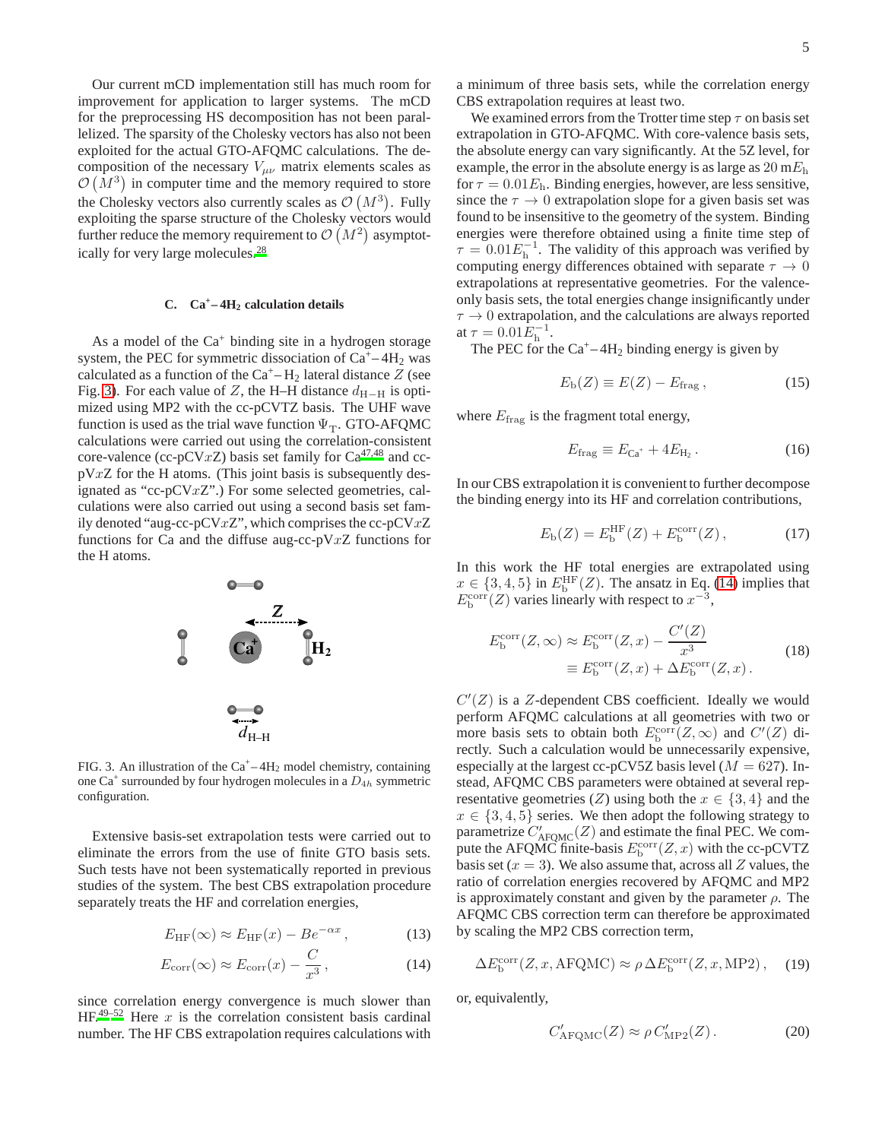Our current mCD implementation still has much room for improvement for application to larger systems. The mCD for the preprocessing HS decomposition has not been parallelized. The sparsity of the Cholesky vectors has also not been exploited for the actual GTO-AFQMC calculations. The decomposition of the necessary  $V_{\mu\nu}$  matrix elements scales as  $\mathcal{O}(M^3)$  in computer time and the memory required to store the Cholesky vectors also currently scales as  $\mathcal{O}(M^3)$ . Fully exploiting the sparse structure of the Cholesky vectors would further reduce the memory requirement to  $\mathcal{O}(M^2)$  asymptotically for very large molecules.[28](#page-9-28)

# <span id="page-4-2"></span>**C. Ca<sup>+</sup> – 4H<sup>2</sup> calculation details**

As a model of the  $Ca^+$  binding site in a hydrogen storage system, the PEC for symmetric dissociation of  $Ca^+ - 4H_2$  was calculated as a function of the  $Ca^+ - H_2$  lateral distance Z (see Fig. [3\)](#page-4-0). For each value of Z, the H–H distance  $d_{H-H}$  is optimized using MP2 with the cc-pCVTZ basis. The UHF wave function is used as the trial wave function  $\Psi_T$ . GTO-AFQMC calculations were carried out using the correlation-consistent core-valence (cc-pCVxZ) basis set family for  $Ca^{47,48}$  $Ca^{47,48}$  $Ca^{47,48}$  $Ca^{47,48}$  and cc $pVxZ$  for the H atoms. (This joint basis is subsequently designated as "cc-pCVxZ".) For some selected geometries, calculations were also carried out using a second basis set family denoted "aug-cc-pCV $xZ$ ", which comprises the cc-pCV $xZ$ functions for Ca and the diffuse aug-cc-pV $xZ$  functions for the H atoms.



<span id="page-4-0"></span>FIG. 3. An illustration of the  $Ca^+ - 4H_2$  model chemistry, containing one Ca<sup>+</sup> surrounded by four hydrogen molecules in a  $D_{4h}$  symmetric configuration.

Extensive basis-set extrapolation tests were carried out to eliminate the errors from the use of finite GTO basis sets. Such tests have not been systematically reported in previous studies of the system. The best CBS extrapolation procedure separately treats the HF and correlation energies,

$$
E_{\rm HF}(\infty) \approx E_{\rm HF}(x) - Be^{-\alpha x},\tag{13}
$$

$$
E_{\text{corr}}(\infty) \approx E_{\text{corr}}(x) - \frac{C}{x^3},\qquad(14)
$$

since correlation energy convergence is much slower than  $HF<sup>49–52</sup>$  $HF<sup>49–52</sup>$  $HF<sup>49–52</sup>$  $HF<sup>49–52</sup>$  Here x is the correlation consistent basis cardinal number. The HF CBS extrapolation requires calculations with

a minimum of three basis sets, while the correlation energy CBS extrapolation requires at least two.

We examined errors from the Trotter time step  $\tau$  on basis set extrapolation in GTO-AFQMC. With core-valence basis sets, the absolute energy can vary significantly. At the 5Z level, for example, the error in the absolute energy is as large as  $20 \text{ m}E_h$ for  $\tau = 0.01E$ <sub>h</sub>. Binding energies, however, are less sensitive, since the  $\tau \to 0$  extrapolation slope for a given basis set was found to be insensitive to the geometry of the system. Binding energies were therefore obtained using a finite time step of  $\tau = 0.01 E_{\rm h}^{-1}$ . The validity of this approach was verified by computing energy differences obtained with separate  $\tau \to 0$ extrapolations at representative geometries. For the valenceonly basis sets, the total energies change insignificantly under  $\tau \rightarrow 0$  extrapolation, and the calculations are always reported at  $\tau = 0.01 \bar{E}_{\rm h}^{-1}$ .

The PEC for the  $Ca^+ - 4H_2$  binding energy is given by

$$
E_{\rm b}(Z) \equiv E(Z) - E_{\rm frag},\qquad(15)
$$

where  $E_{\text{frag}}$  is the fragment total energy,

$$
E_{\text{frag}} \equiv E_{\text{Ca}^+} + 4E_{\text{H}_2} \,. \tag{16}
$$

In our CBS extrapolation it is convenient to further decompose the binding energy into its HF and correlation contributions,

$$
E_{\rm b}(Z) = E_{\rm b}^{\rm HF}(Z) + E_{\rm b}^{\rm corr}(Z) \,, \tag{17}
$$

In this work the HF total energies are extrapolated using  $x \in \{3, 4, 5\}$  in  $E_{\text{b}}^{\text{HF}}(Z)$ . The ansatz in Eq. [\(14\)](#page-4-1) implies that  $E<sub>b</sub><sup>corr</sup>(Z)$  varies linearly with respect to  $x<sup>-3</sup>$ ,

$$
E_b^{\text{corr}}(Z,\infty) \approx E_b^{\text{corr}}(Z,x) - \frac{C'(Z)}{x^3}
$$
  

$$
\equiv E_b^{\text{corr}}(Z,x) + \Delta E_b^{\text{corr}}(Z,x).
$$
 (18)

 $C'(Z)$  is a Z-dependent CBS coefficient. Ideally we would perform AFQMC calculations at all geometries with two or more basis sets to obtain both  $E_b^{\text{corr}}(Z,\infty)$  and  $C'(Z)$  directly. Such a calculation would be unnecessarily expensive, especially at the largest cc-pCV5Z basis level ( $M = 627$ ). Instead, AFQMC CBS parameters were obtained at several representative geometries (Z) using both the  $x \in \{3, 4\}$  and the  $x \in \{3, 4, 5\}$  series. We then adopt the following strategy to parametrize  $C'_{\text{AFQMC}}(Z)$  and estimate the final PEC. We compute the AFQMC finite-basis  $E_b^{\text{corr}}(Z, x)$  with the cc-pCVTZ basis set ( $x = 3$ ). We also assume that, across all Z values, the ratio of correlation energies recovered by AFQMC and MP2 is approximately constant and given by the parameter  $\rho$ . The AFQMC CBS correction term can therefore be approximated by scaling the MP2 CBS correction term,

<span id="page-4-3"></span>
$$
\Delta E_{\rm b}^{\rm corr}(Z, x, \text{AFQMC}) \approx \rho \,\Delta E_{\rm b}^{\rm corr}(Z, x, \text{MP2}),\tag{19}
$$

<span id="page-4-1"></span>or, equivalently,

$$
C'_{\text{AFQMC}}(Z) \approx \rho C'_{\text{MP2}}(Z). \tag{20}
$$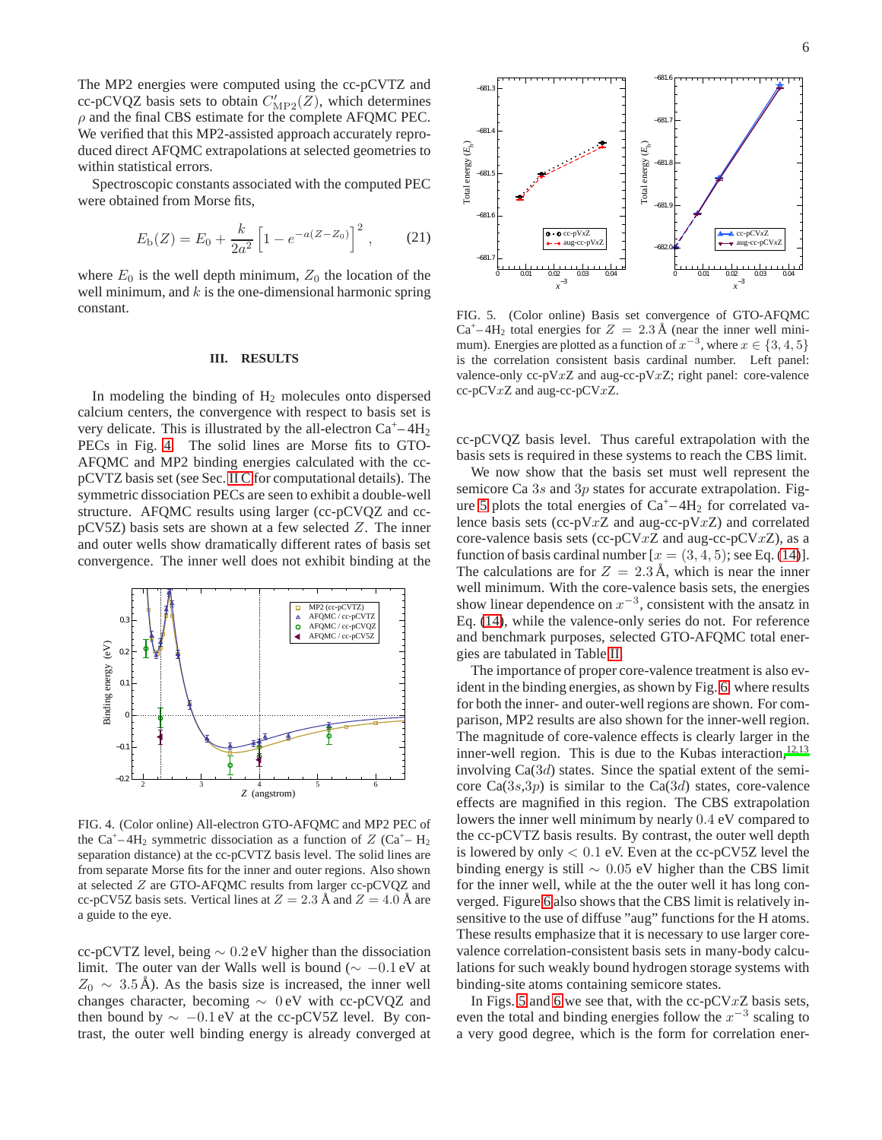The MP2 energies were computed using the cc-pCVTZ and cc-pCVQZ basis sets to obtain  $C'_{\text{MP2}}(Z)$ , which determines  $\rho$  and the final CBS estimate for the complete AFQMC PEC. We verified that this MP2-assisted approach accurately reproduced direct AFQMC extrapolations at selected geometries to within statistical errors.

Spectroscopic constants associated with the computed PEC were obtained from Morse fits,

$$
E_{\rm b}(Z) = E_0 + \frac{k}{2a^2} \left[ 1 - e^{-a(Z - Z_0)} \right]^2, \qquad (21)
$$

where  $E_0$  is the well depth minimum,  $Z_0$  the location of the well minimum, and  $k$  is the one-dimensional harmonic spring constant.

#### <span id="page-5-0"></span>**III. RESULTS**

In modeling the binding of  $H_2$  molecules onto dispersed calcium centers, the convergence with respect to basis set is very delicate. This is illustrated by the all-electron  $Ca^+ - 4H_2$ PECs in Fig. [4.](#page-5-1) The solid lines are Morse fits to GTO-AFQMC and MP2 binding energies calculated with the ccpCVTZ basis set (see Sec. [II C](#page-4-2) for computational details). The symmetric dissociation PECs are seen to exhibit a double-well structure. AFQMC results using larger (cc-pCVQZ and ccpCV5Z) basis sets are shown at a few selected Z. The inner and outer wells show dramatically different rates of basis set convergence. The inner well does not exhibit binding at the



<span id="page-5-1"></span>FIG. 4. (Color online) All-electron GTO-AFQMC and MP2 PEC of the Ca<sup>+</sup>-4H<sub>2</sub> symmetric dissociation as a function of  $Z$  (Ca<sup>+</sup>-H<sub>2</sub>) separation distance) at the cc-pCVTZ basis level. The solid lines are from separate Morse fits for the inner and outer regions. Also shown at selected Z are GTO-AFQMC results from larger cc-pCVQZ and cc-pCV5Z basis sets. Vertical lines at  $Z = 2.3$  Å and  $Z = 4.0$  Å are a guide to the eye.

cc-pCVTZ level, being ∼ 0.2 eV higher than the dissociation limit. The outer van der Walls well is bound ( $\sim -0.1$  eV at  $Z_0 \sim 3.5 \text{ Å}$ ). As the basis size is increased, the inner well changes character, becoming ∼ 0 eV with cc-pCVQZ and then bound by  $\sim -0.1$  eV at the cc-pCV5Z level. By contrast, the outer well binding energy is already converged at



<span id="page-5-2"></span>FIG. 5. (Color online) Basis set convergence of GTO-AFQMC  $Ca<sup>+</sup>-4H<sub>2</sub>$  total energies for  $Z = 2.3 \text{ Å}$  (near the inner well minimum). Energies are plotted as a function of  $x^{-3}$ , where  $x \in \{3, 4, 5\}$ is the correlation consistent basis cardinal number. Left panel: valence-only  $cc-pVxZ$  and aug- $cc-pVxZ$ ; right panel: core-valence  $cc$ -pCV $xZ$  and aug-cc-pCV $xZ$ .

cc-pCVQZ basis level. Thus careful extrapolation with the basis sets is required in these systems to reach the CBS limit.

We now show that the basis set must well represent the semicore Ca 3s and 3p states for accurate extrapolation. Fig-ure [5](#page-5-2) plots the total energies of  $Ca^+ - 4H_2$  for correlated valence basis sets (cc-pV $xZ$  and aug-cc-pV $xZ$ ) and correlated core-valence basis sets (cc-pCVxZ and aug-cc-pCVxZ), as a function of basis cardinal number  $[x = (3, 4, 5)]$ ; see Eq. [\(14\)](#page-4-1)]. The calculations are for  $Z = 2.3 \text{ Å}$ , which is near the inner well minimum. With the core-valence basis sets, the energies show linear dependence on  $x^{-3}$ , consistent with the ansatz in Eq. [\(14\)](#page-4-1), while the valence-only series do not. For reference and benchmark purposes, selected GTO-AFQMC total energies are tabulated in Table [II.](#page-6-0)

The importance of proper core-valence treatment is also evident in the binding energies, as shown by Fig. [6,](#page-6-1) where results for both the inner- and outer-well regions are shown. For comparison, MP2 results are also shown for the inner-well region. The magnitude of core-valence effects is clearly larger in the inner-well region. This is due to the Kubas interaction,  $12,13$  $12,13$ involving  $Ca(3d)$  states. Since the spatial extent of the semicore  $Ca(3s,3p)$  is similar to the  $Ca(3d)$  states, core-valence effects are magnified in this region. The CBS extrapolation lowers the inner well minimum by nearly 0.4 eV compared to the cc-pCVTZ basis results. By contrast, the outer well depth is lowered by only  $< 0.1$  eV. Even at the cc-pCV5Z level the binding energy is still  $\sim$  0.05 eV higher than the CBS limit for the inner well, while at the the outer well it has long converged. Figure [6](#page-6-1) also shows that the CBS limit is relatively insensitive to the use of diffuse "aug" functions for the H atoms. These results emphasize that it is necessary to use larger corevalence correlation-consistent basis sets in many-body calculations for such weakly bound hydrogen storage systems with binding-site atoms containing semicore states.

In Figs. [5](#page-5-2) and [6](#page-6-1) we see that, with the cc-pCV $xZ$  basis sets, even the total and binding energies follow the  $x^{-3}$  scaling to a very good degree, which is the form for correlation ener-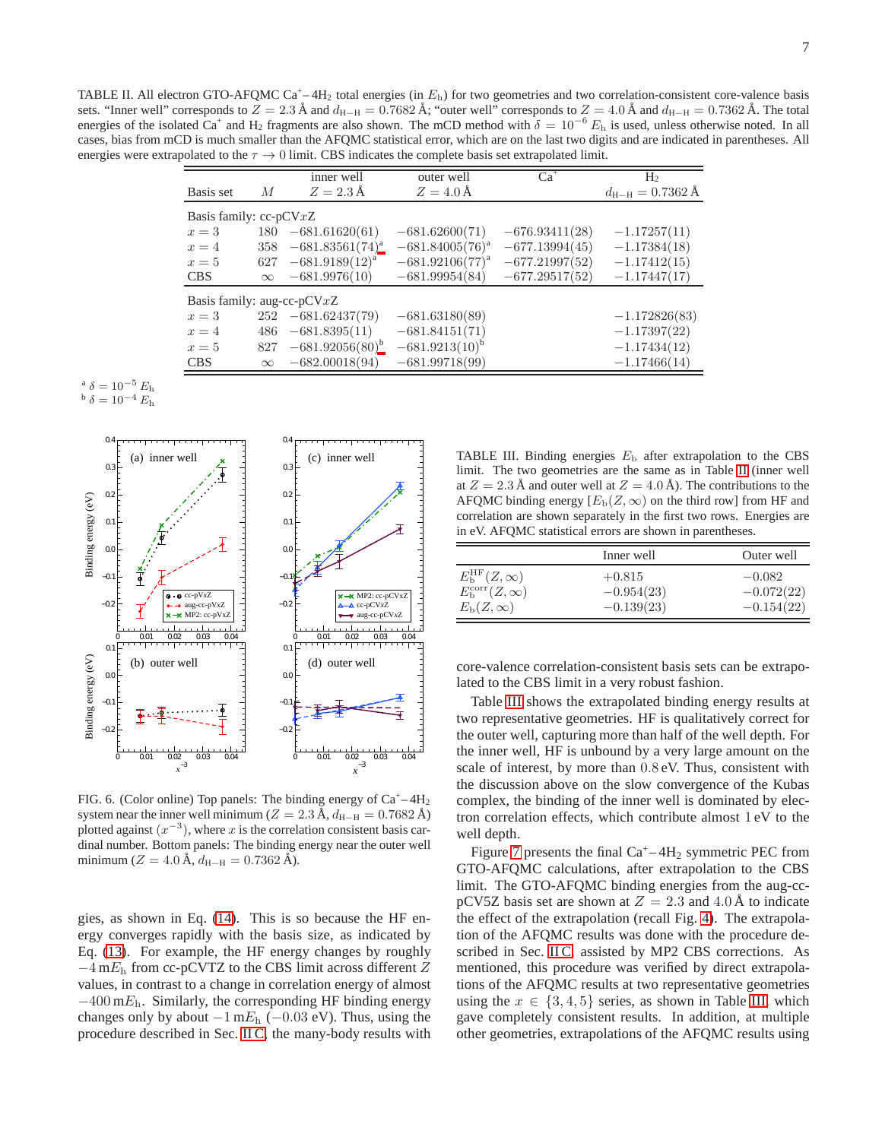<span id="page-6-0"></span>TABLE II. All electron GTO-AFQMC Ca<sup>+</sup>-4H<sub>2</sub> total energies (in  $E<sub>h</sub>$ ) for two geometries and two correlation-consistent core-valence basis sets. "Inner well" corresponds to  $Z = 2.3 \text{ Å}$  and  $d_{\text{H-H}} = 0.7682 \text{ Å}$ ; "outer well" corresponds to  $Z = 4.0 \text{ Å}$  and  $d_{\text{H-H}} = 0.7362 \text{ Å}$ . The total energies of the isolated  $Ca^+$  and H<sub>2</sub> fragments are also shown. The mCD method with  $\delta = 10^{-6} E_h$  is used, unless otherwise noted. In all cases, bias from mCD is much smaller than the AFQMC statistical error, which are on the last two digits and are indicated in parentheses. All energies were extrapolated to the  $\tau \to 0$  limit. CBS indicates the complete basis set extrapolated limit.

|                               |                | inner well           | outer well           | $Ca+$            | H۶                                  |  |
|-------------------------------|----------------|----------------------|----------------------|------------------|-------------------------------------|--|
| Basis set                     | $\overline{M}$ | $Z = 2.3 \text{ Å}$  | $Z = 4.0 \text{ Å}$  |                  | $d_{\text{H-H}} = 0.7362 \text{ Å}$ |  |
| Basis family: $cc$ -pCV $xZ$  |                |                      |                      |                  |                                     |  |
| $x=3$                         | 180            | $-681.61620(61)$     | $-681.62600(71)$     | $-676.93411(28)$ | $-1.17257(11)$                      |  |
| $x=4$                         | 358            | $-681.83561(74)^{a}$ | $-681.84005(76)^{a}$ | $-677.13994(45)$ | $-1.17384(18)$                      |  |
| $x=5$                         | 627            | $-681.9189(12)^{a}$  | $-681.92106(77)^{a}$ | $-677.21997(52)$ | $-1.17412(15)$                      |  |
| <b>CBS</b>                    | $\infty$       | $-681.9976(10)$      | $-681.99954(84)$     | $-677.29517(52)$ | $-1.17447(17)$                      |  |
| Basis family: aug-cc-p $CVxZ$ |                |                      |                      |                  |                                     |  |
| $x=3$                         | 252            | $-681.62437(79)$     | $-681.63180(89)$     |                  | $-1.172826(83)$                     |  |
| $x=4$                         | 486            | $-681.8395(11)$      | $-681.84151(71)$     |                  | $-1.17397(22)$                      |  |
| $x=5$                         | 827            | $-681.92056(80)^{b}$ | $-681.9213(10)^{b}$  |                  | $-1.17434(12)$                      |  |
| <b>CBS</b>                    | $\infty$       | $-682.00018(94)$     | $-681.99718(99)$     |                  | $-1.17466(14)$                      |  |
|                               |                |                      |                      |                  |                                     |  |

<span id="page-6-3"></span><span id="page-6-2"></span>
$$
\begin{array}{c}\n\text{a } \delta = 10^{-5} E_{\text{h}} \\
\text{b } \delta = 10^{-4} E_{\text{h}}\n\end{array}
$$



<span id="page-6-1"></span>FIG. 6. (Color online) Top panels: The binding energy of  $Ca^+ - 4H_2$ system near the inner well minimum ( $Z = 2.3$  Å,  $d_{\text{H-H}} = 0.7682$  Å) plotted against  $(x^{-3})$ , where x is the correlation consistent basis cardinal number. Bottom panels: The binding energy near the outer well minimum ( $Z = 4.0 \text{ Å}, d_{\text{H-H}} = 0.7362 \text{ Å}.$ 

gies, as shown in Eq. [\(14\)](#page-4-1). This is so because the HF energy converges rapidly with the basis size, as indicated by Eq. [\(13\)](#page-4-3). For example, the HF energy changes by roughly  $-4$  m $E_h$  from cc-pCVTZ to the CBS limit across different Z values, in contrast to a change in correlation energy of almost  $-400$  m $E_h$ . Similarly, the corresponding HF binding energy changes only by about  $-1$  m $E_h$  ( $-0.03$  eV). Thus, using the procedure described in Sec. [II C,](#page-4-2) the many-body results with

<span id="page-6-4"></span>TABLE III. Binding energies  $E<sub>b</sub>$  after extrapolation to the CBS limit. The two geometries are the same as in Table [II](#page-6-0) (inner well at  $Z = 2.3 \text{ Å}$  and outer well at  $Z = 4.0 \text{ Å}$ ). The contributions to the AFQMC binding energy  $[E_{b}(Z, \infty)$  on the third row] from HF and correlation are shown separately in the first two rows. Energies are in eV. AFQMC statistical errors are shown in parentheses.

|                                  | Inner well   | Outer well   |
|----------------------------------|--------------|--------------|
| $E_{\rm b}^{\rm HF}(Z,\infty)$   | $+0.815$     | $-0.082$     |
| $E_{\rm b}^{\rm corr}(Z,\infty)$ | $-0.954(23)$ | $-0.072(22)$ |
| $E_{\rm b}(Z,\infty)$            | $-0.139(23)$ | $-0.154(22)$ |

core-valence correlation-consistent basis sets can be extrapolated to the CBS limit in a very robust fashion.

Table [III](#page-6-4) shows the extrapolated binding energy results at two representative geometries. HF is qualitatively correct for the outer well, capturing more than half of the well depth. For the inner well, HF is unbound by a very large amount on the scale of interest, by more than 0.8 eV. Thus, consistent with the discussion above on the slow convergence of the Kubas complex, the binding of the inner well is dominated by electron correlation effects, which contribute almost 1 eV to the well depth.

Figure [7](#page-7-1) presents the final  $Ca^{+} - 4H_2$  symmetric PEC from GTO-AFQMC calculations, after extrapolation to the CBS limit. The GTO-AFQMC binding energies from the aug-ccpCV5Z basis set are shown at  $Z = 2.3$  and 4.0 Å to indicate the effect of the extrapolation (recall Fig. [4\)](#page-5-1). The extrapolation of the AFQMC results was done with the procedure de-scribed in Sec. [II C,](#page-4-2) assisted by MP2 CBS corrections. As mentioned, this procedure was verified by direct extrapolations of the AFQMC results at two representative geometries using the  $x \in \{3, 4, 5\}$  series, as shown in Table [III,](#page-6-4) which gave completely consistent results. In addition, at multiple other geometries, extrapolations of the AFQMC results using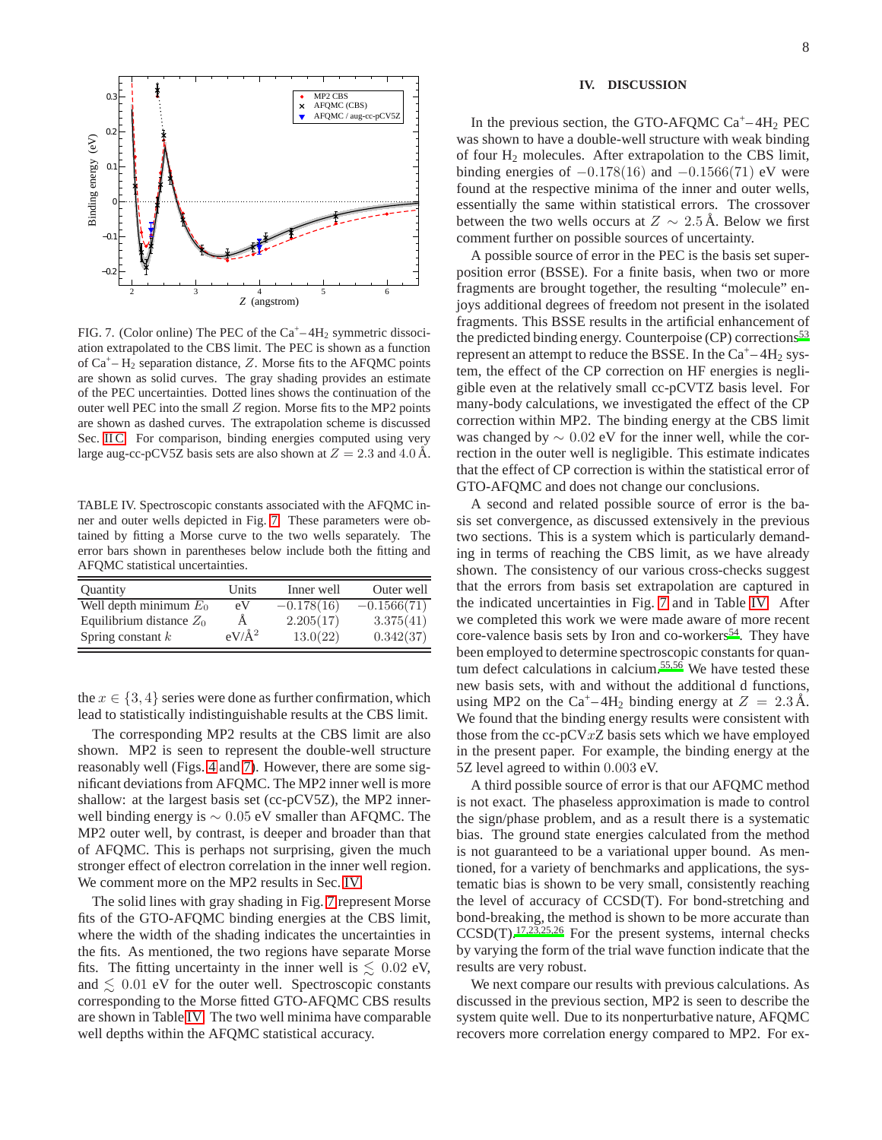

<span id="page-7-1"></span>FIG. 7. (Color online) The PEC of the  $Ca^+ - 4H_2$  symmetric dissociation extrapolated to the CBS limit. The PEC is shown as a function of  $Ca^+ - H_2$  separation distance, Z. Morse fits to the AFQMC points are shown as solid curves. The gray shading provides an estimate of the PEC uncertainties. Dotted lines shows the continuation of the outer well PEC into the small  $Z$  region. Morse fits to the MP2 points are shown as dashed curves. The extrapolation scheme is discussed Sec. [II C.](#page-4-2) For comparison, binding energies computed using very large aug-cc-pCV5Z basis sets are also shown at  $Z = 2.3$  and 4.0 Å.

<span id="page-7-2"></span>TABLE IV. Spectroscopic constants associated with the AFQMC inner and outer wells depicted in Fig. [7.](#page-7-1) These parameters were obtained by fitting a Morse curve to the two wells separately. The error bars shown in parentheses below include both the fitting and AFQMC statistical uncertainties.

| <b>Quantity</b>            | Units    | Inner well   | Outer well    |
|----------------------------|----------|--------------|---------------|
| Well depth minimum $E_0$   | eV       | $-0.178(16)$ | $-0.1566(71)$ |
| Equilibrium distance $Z_0$ |          | 2.205(17)    | 3.375(41)     |
| Spring constant $k$        | $eV/A^2$ | 13.0(22)     | 0.342(37)     |

the  $x \in \{3, 4\}$  series were done as further confirmation, which lead to statistically indistinguishable results at the CBS limit.

The corresponding MP2 results at the CBS limit are also shown. MP2 is seen to represent the double-well structure reasonably well (Figs. [4](#page-5-1) and [7\)](#page-7-1). However, there are some significant deviations from AFQMC. The MP2 inner well is more shallow: at the largest basis set (cc-pCV5Z), the MP2 innerwell binding energy is ∼ 0.05 eV smaller than AFQMC. The MP2 outer well, by contrast, is deeper and broader than that of AFQMC. This is perhaps not surprising, given the much stronger effect of electron correlation in the inner well region. We comment more on the MP2 results in Sec. [IV.](#page-7-0)

The solid lines with gray shading in Fig. [7](#page-7-1) represent Morse fits of the GTO-AFQMC binding energies at the CBS limit, where the width of the shading indicates the uncertainties in the fits. As mentioned, the two regions have separate Morse fits. The fitting uncertainty in the inner well is  $\lesssim 0.02$  eV, and  $\leq 0.01$  eV for the outer well. Spectroscopic constants corresponding to the Morse fitted GTO-AFQMC CBS results are shown in Table [IV.](#page-7-2) The two well minima have comparable well depths within the AFQMC statistical accuracy.

#### <span id="page-7-0"></span>**IV. DISCUSSION**

In the previous section, the GTO-AFQMC  $Ca^+ - 4H_2$  PEC was shown to have a double-well structure with weak binding of four H<sub>2</sub> molecules. After extrapolation to the CBS limit, binding energies of  $-0.178(16)$  and  $-0.1566(71)$  eV were found at the respective minima of the inner and outer wells, essentially the same within statistical errors. The crossover between the two wells occurs at  $Z \sim 2.5$  Å. Below we first comment further on possible sources of uncertainty.

A possible source of error in the PEC is the basis set superposition error (BSSE). For a finite basis, when two or more fragments are brought together, the resulting "molecule" enjoys additional degrees of freedom not present in the isolated fragments. This BSSE results in the artificial enhancement of the predicted binding energy. Counterpoise  $(CP)$  corrections<sup>[53](#page-9-36)</sup> represent an attempt to reduce the BSSE. In the  $Ca^+ - 4H_2$  system, the effect of the CP correction on HF energies is negligible even at the relatively small cc-pCVTZ basis level. For many-body calculations, we investigated the effect of the CP correction within MP2. The binding energy at the CBS limit was changed by ∼ 0.02 eV for the inner well, while the correction in the outer well is negligible. This estimate indicates that the effect of CP correction is within the statistical error of GTO-AFQMC and does not change our conclusions.

A second and related possible source of error is the basis set convergence, as discussed extensively in the previous two sections. This is a system which is particularly demanding in terms of reaching the CBS limit, as we have already shown. The consistency of our various cross-checks suggest that the errors from basis set extrapolation are captured in the indicated uncertainties in Fig. [7](#page-7-1) and in Table [IV.](#page-7-2) After we completed this work we were made aware of more recent core-valence basis sets by Iron and co-workers<sup>[54](#page-9-37)</sup>. They have been employed to determine spectroscopic constants for quan-tum defect calculations in calcium.<sup>[55](#page-9-38)[,56](#page-9-39)</sup> We have tested these new basis sets, with and without the additional d functions, using MP2 on the Ca<sup>+</sup>–4H<sub>2</sub> binding energy at  $Z = 2.3 \text{ Å}$ . We found that the binding energy results were consistent with those from the  $cc$ -pCV $xZ$  basis sets which we have employed in the present paper. For example, the binding energy at the 5Z level agreed to within 0.003 eV.

A third possible source of error is that our AFQMC method is not exact. The phaseless approximation is made to control the sign/phase problem, and as a result there is a systematic bias. The ground state energies calculated from the method is not guaranteed to be a variational upper bound. As mentioned, for a variety of benchmarks and applications, the systematic bias is shown to be very small, consistently reaching the level of accuracy of CCSD(T). For bond-stretching and bond-breaking, the method is shown to be more accurate than  $CCSD(T)$ .<sup>[17](#page-9-7)[,23](#page-9-10)[,25](#page-9-11)[,26](#page-9-9)</sup> For the present systems, internal checks by varying the form of the trial wave function indicate that the results are very robust.

We next compare our results with previous calculations. As discussed in the previous section, MP2 is seen to describe the system quite well. Due to its nonperturbative nature, AFQMC recovers more correlation energy compared to MP2. For ex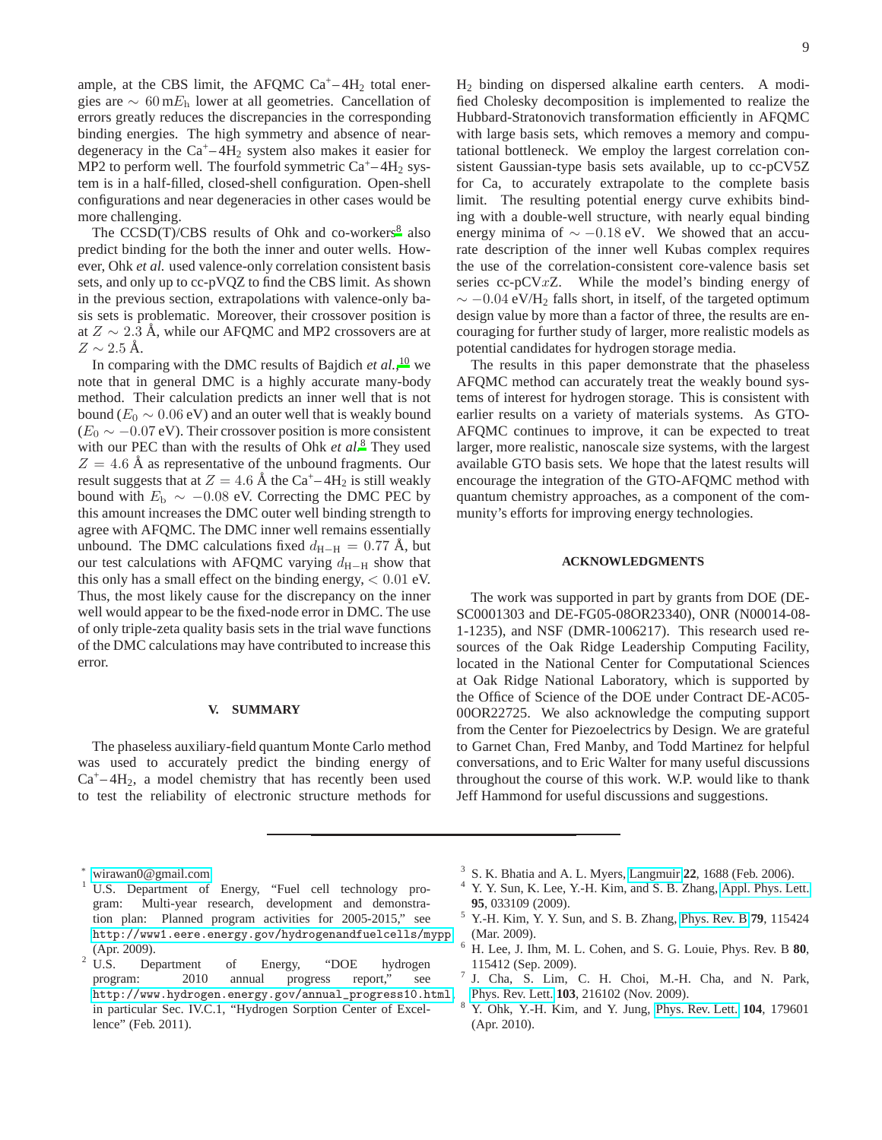ample, at the CBS limit, the AFQMC  $Ca^+ - 4H_2$  total energies are  $\sim 60$  m $E_h$  lower at all geometries. Cancellation of errors greatly reduces the discrepancies in the corresponding binding energies. The high symmetry and absence of neardegeneracy in the  $Ca^+ - 4H_2$  system also makes it easier for MP2 to perform well. The fourfold symmetric  $Ca^+ - 4H_2$  system is in a half-filled, closed-shell configuration. Open-shell configurations and near degeneracies in other cases would be more challenging.

The  $CCSD(T)/CBS$  re[s](#page-8-6)ults of Ohk and co-workers<sup>8</sup> also predict binding for the both the inner and outer wells. However, Ohk *et al.* used valence-only correlation consistent basis sets, and only up to cc-pVQZ to find the CBS limit. As shown in the previous section, extrapolations with valence-only basis sets is problematic. Moreover, their crossover position is at  $Z \sim 2.3$  Å, while our AFQMC and MP2 crossovers are at  $Z \sim 2.5$  Å.

In comparing with the DMC results of Bajdich *et al.*, [10](#page-9-1) we note that in general DMC is a highly accurate many-body method. Their calculation predicts an inner well that is not bound ( $E_0 \sim 0.06$  eV) and an outer well that is weakly bound  $(E_0 \sim -0.07 \text{ eV})$ . Their crossover position is more consistent with our PEC than with the results of Ohk *et al.*[8](#page-8-6) They used  $Z = 4.6$  Å as representative of the unbound fragments. Our result suggests that at  $Z = 4.6 \text{ Å}$  the Ca<sup>+</sup>-4H<sub>2</sub> is still weakly bound with  $E<sub>b</sub> \sim -0.08$  eV. Correcting the DMC PEC by this amount increases the DMC outer well binding strength to agree with AFQMC. The DMC inner well remains essentially unbound. The DMC calculations fixed  $d_{\text{H}-\text{H}} = 0.77 \text{ Å}$ , but our test calculations with AFQMC varying  $d_{\text{H}-\text{H}}$  show that this only has a small effect on the binding energy,  $< 0.01$  eV. Thus, the most likely cause for the discrepancy on the inner well would appear to be the fixed-node error in DMC. The use of only triple-zeta quality basis sets in the trial wave functions of the DMC calculations may have contributed to increase this error.

## <span id="page-8-7"></span>**V. SUMMARY**

The phaseless auxiliary-field quantum Monte Carlo method was used to accurately predict the binding energy of  $Ca<sup>+</sup>-4H<sub>2</sub>$ , a model chemistry that has recently been used to test the reliability of electronic structure methods for

H<sup>2</sup> binding on dispersed alkaline earth centers. A modified Cholesky decomposition is implemented to realize the Hubbard-Stratonovich transformation efficiently in AFQMC with large basis sets, which removes a memory and computational bottleneck. We employ the largest correlation consistent Gaussian-type basis sets available, up to cc-pCV5Z for Ca, to accurately extrapolate to the complete basis limit. The resulting potential energy curve exhibits binding with a double-well structure, with nearly equal binding energy minima of  $\sim -0.18$  eV. We showed that an accurate description of the inner well Kubas complex requires the use of the correlation-consistent core-valence basis set series cc-pCVxZ. While the model's binding energy of  $\sim$  −0.04 eV/H<sub>2</sub> falls short, in itself, of the targeted optimum design value by more than a factor of three, the results are encouraging for further study of larger, more realistic models as potential candidates for hydrogen storage media.

The results in this paper demonstrate that the phaseless AFQMC method can accurately treat the weakly bound systems of interest for hydrogen storage. This is consistent with earlier results on a variety of materials systems. As GTO-AFQMC continues to improve, it can be expected to treat larger, more realistic, nanoscale size systems, with the largest available GTO basis sets. We hope that the latest results will encourage the integration of the GTO-AFQMC method with quantum chemistry approaches, as a component of the community's efforts for improving energy technologies.

#### **ACKNOWLEDGMENTS**

The work was supported in part by grants from DOE (DE-SC0001303 and DE-FG05-08OR23340), ONR (N00014-08- 1-1235), and NSF (DMR-1006217). This research used resources of the Oak Ridge Leadership Computing Facility, located in the National Center for Computational Sciences at Oak Ridge National Laboratory, which is supported by the Office of Science of the DOE under Contract DE-AC05- 00OR22725. We also acknowledge the computing support from the Center for Piezoelectrics by Design. We are grateful to Garnet Chan, Fred Manby, and Todd Martinez for helpful conversations, and to Eric Walter for many useful discussions throughout the course of this work. W.P. would like to thank Jeff Hammond for useful discussions and suggestions.

- <span id="page-8-3"></span>3 S. K. Bhatia and A. L. Myers, [Langmuir](http://dx.doi.org/10.1021/la0523816) **22**, 1688 (Feb. 2006).
- <span id="page-8-4"></span>Y. Y. Sun, K. Lee, Y.-H. Kim, and S. B. Zhang, [Appl. Phys. Lett.](http://dx.doi.org/10.1063/1.3182796) **95**, 033109 (2009).
- <sup>5</sup> Y.-H. Kim, Y. Y. Sun, and S. B. Zhang, [Phys. Rev. B](http://dx.doi.org/10.1103/PhysRevB.79.115424) **79**, 115424 (Mar. 2009).
- <sup>6</sup> H. Lee, J. Ihm, M. L. Cohen, and S. G. Louie, Phys. Rev. B **80**, 115412 (Sep. 2009).
- <span id="page-8-5"></span>7 J. Cha, S. Lim, C. H. Choi, M.-H. Cha, and N. Park, [Phys. Rev. Lett.](http://dx.doi.org/10.1103/PhysRevLett.103.216102) **103**, 216102 (Nov. 2009).
- <span id="page-8-6"></span><sup>8</sup> Y. Ohk, Y.-H. Kim, and Y. Jung, [Phys. Rev. Lett.](http://dx.doi.org/10.1103/PhysRevLett.104.179601) **104**, 179601 (Apr. 2010).

<sup>∗</sup> [wirawan0@gmail.com](mailto:wirawan0@gmail.com)

<span id="page-8-1"></span><span id="page-8-0"></span><sup>&</sup>lt;sup>1</sup> U.S. Department of Energy, "Fuel cell technology program: Multi-year research, development and demonstration plan: Planned program activities for 2005-2015," see <http://www1.eere.energy.gov/hydrogenandfuelcells/mypp>

<span id="page-8-2"></span><sup>(</sup>Apr. 2009).<br><sup>2</sup> U.S. De Department of Energy, "DOE hydrogen program: 2010 annual progress report," see [http://www.hydrogen.energy.gov/annual\\_progress10.html](http://www.hydrogen.energy.gov/annual_progress10.html), in particular Sec. IV.C.1, "Hydrogen Sorption Center of Excellence" (Feb. 2011).